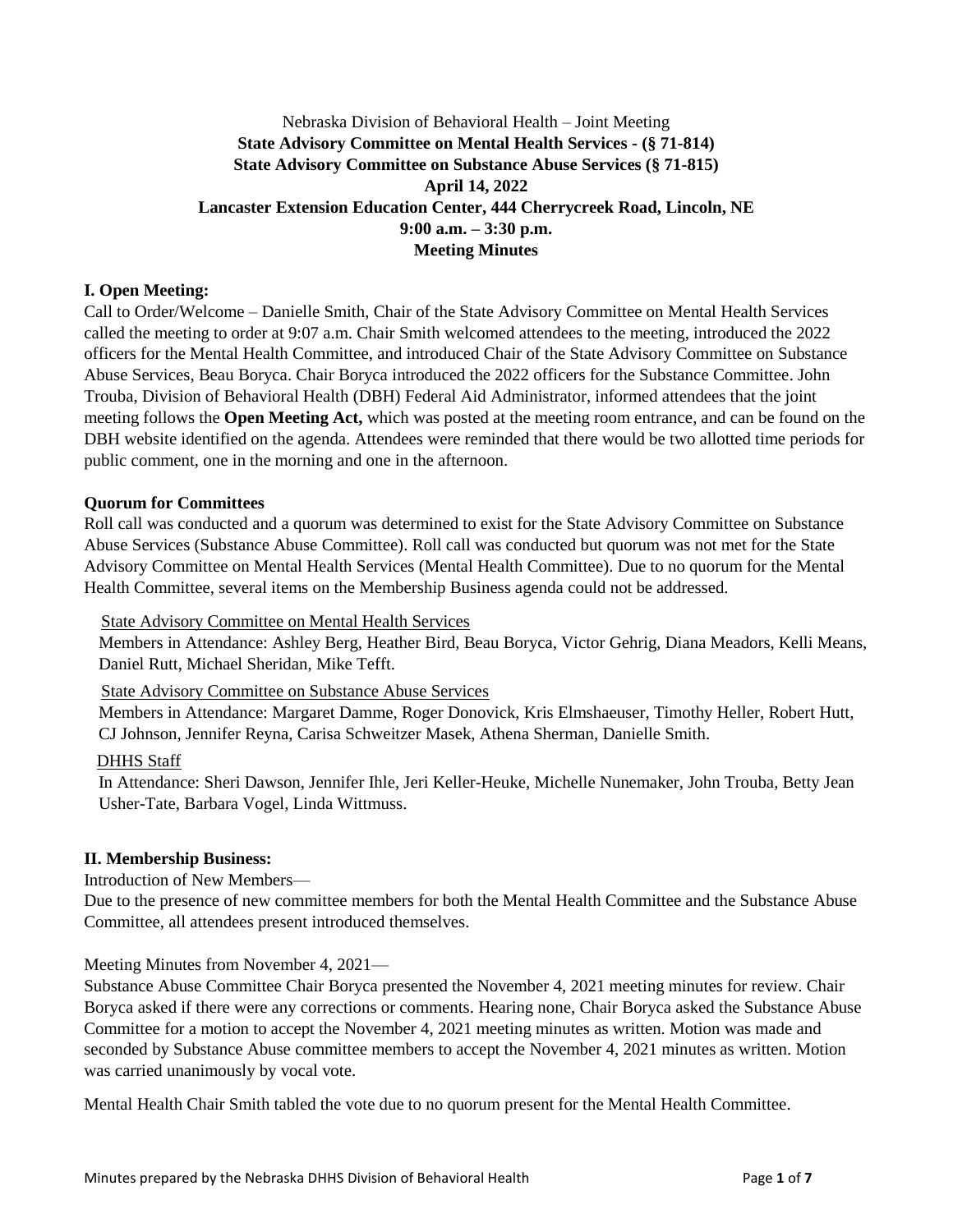## Nebraska Division of Behavioral Health – Joint Meeting **State Advisory Committee on Mental Health Services - (§ 71-814) State Advisory Committee on Substance Abuse Services (§ 71-815) April 14, 2022 Lancaster Extension Education Center, 444 Cherrycreek Road, Lincoln, NE 9:00 a.m. – 3:30 p.m. Meeting Minutes**

### **I. Open Meeting:**

Call to Order/Welcome – Danielle Smith, Chair of the State Advisory Committee on Mental Health Services called the meeting to order at 9:07 a.m. Chair Smith welcomed attendees to the meeting, introduced the 2022 officers for the Mental Health Committee, and introduced Chair of the State Advisory Committee on Substance Abuse Services, Beau Boryca. Chair Boryca introduced the 2022 officers for the Substance Committee. John Trouba, Division of Behavioral Health (DBH) Federal Aid Administrator, informed attendees that the joint meeting follows the **Open Meeting Act,** which was posted at the meeting room entrance, and can be found on the DBH website identified on the agenda. Attendees were reminded that there would be two allotted time periods for public comment, one in the morning and one in the afternoon.

#### **Quorum for Committees**

Roll call was conducted and a quorum was determined to exist for the State Advisory Committee on Substance Abuse Services (Substance Abuse Committee). Roll call was conducted but quorum was not met for the State Advisory Committee on Mental Health Services (Mental Health Committee). Due to no quorum for the Mental Health Committee, several items on the Membership Business agenda could not be addressed.

**State Advisory Committee on Mental Health Services** 

Members in Attendance: Ashley Berg, Heather Bird, Beau Boryca, Victor Gehrig, Diana Meadors, Kelli Means, Daniel Rutt, Michael Sheridan, Mike Tefft.

State Advisory Committee on Substance Abuse Services

Members in Attendance: Margaret Damme, Roger Donovick, Kris Elmshaeuser, Timothy Heller, Robert Hutt, CJ Johnson, Jennifer Reyna, Carisa Schweitzer Masek, Athena Sherman, Danielle Smith.

### DHHS Staff

In Attendance: Sheri Dawson, Jennifer Ihle, Jeri Keller-Heuke, Michelle Nunemaker, John Trouba, Betty Jean Usher-Tate, Barbara Vogel, Linda Wittmuss.

### **II. Membership Business:**

### Introduction of New Members—

Due to the presence of new committee members for both the Mental Health Committee and the Substance Abuse Committee, all attendees present introduced themselves.

### Meeting Minutes from November 4, 2021—

Substance Abuse Committee Chair Boryca presented the November 4, 2021 meeting minutes for review. Chair Boryca asked if there were any corrections or comments. Hearing none, Chair Boryca asked the Substance Abuse Committee for a motion to accept the November 4, 2021 meeting minutes as written. Motion was made and seconded by Substance Abuse committee members to accept the November 4, 2021 minutes as written. Motion was carried unanimously by vocal vote.

Mental Health Chair Smith tabled the vote due to no quorum present for the Mental Health Committee.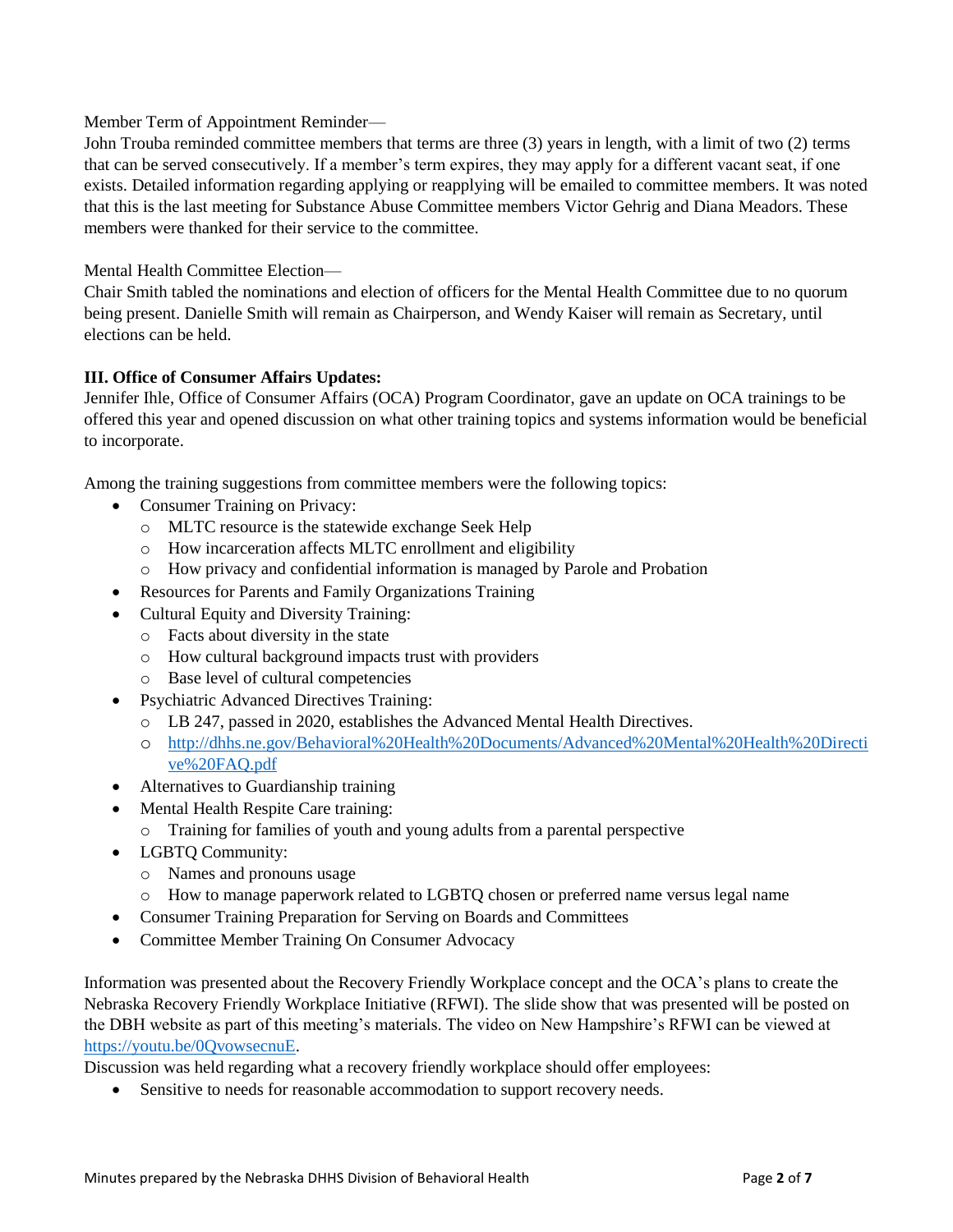Member Term of Appointment Reminder—

John Trouba reminded committee members that terms are three (3) years in length, with a limit of two (2) terms that can be served consecutively. If a member's term expires, they may apply for a different vacant seat, if one exists. Detailed information regarding applying or reapplying will be emailed to committee members. It was noted that this is the last meeting for Substance Abuse Committee members Victor Gehrig and Diana Meadors. These members were thanked for their service to the committee.

Mental Health Committee Election—

Chair Smith tabled the nominations and election of officers for the Mental Health Committee due to no quorum being present. Danielle Smith will remain as Chairperson, and Wendy Kaiser will remain as Secretary, until elections can be held.

## **III. Office of Consumer Affairs Updates:**

Jennifer Ihle, Office of Consumer Affairs (OCA) Program Coordinator, gave an update on OCA trainings to be offered this year and opened discussion on what other training topics and systems information would be beneficial to incorporate.

Among the training suggestions from committee members were the following topics:

- Consumer Training on Privacy:
	- o MLTC resource is the statewide exchange Seek Help
	- o How incarceration affects MLTC enrollment and eligibility
	- o How privacy and confidential information is managed by Parole and Probation
- Resources for Parents and Family Organizations Training
- Cultural Equity and Diversity Training:
	- o Facts about diversity in the state
	- o How cultural background impacts trust with providers
	- o Base level of cultural competencies
- Psychiatric Advanced Directives Training:
	- o LB 247, passed in 2020, establishes the Advanced Mental Health Directives.
	- o [http://dhhs.ne.gov/Behavioral%20Health%20Documents/Advanced%20Mental%20Health%20Directi](http://dhhs.ne.gov/Behavioral%20Health%20Documents/Advanced%20Mental%20Health%20Directive%20FAQ.pdf) [ve%20FAQ.pdf](http://dhhs.ne.gov/Behavioral%20Health%20Documents/Advanced%20Mental%20Health%20Directive%20FAQ.pdf)
- Alternatives to Guardianship training
- Mental Health Respite Care training:
	- o Training for families of youth and young adults from a parental perspective
- LGBTQ Community:
	- o Names and pronouns usage
	- o How to manage paperwork related to LGBTQ chosen or preferred name versus legal name
- Consumer Training Preparation for Serving on Boards and Committees
- Committee Member Training On Consumer Advocacy

Information was presented about the Recovery Friendly Workplace concept and the OCA's plans to create the Nebraska Recovery Friendly Workplace Initiative (RFWI). The slide show that was presented will be posted on the DBH website as part of this meeting's materials. The video on New Hampshire's RFWI can be viewed at [https://youtu.be/0QvowsecnuE.](https://youtu.be/0QvowsecnuE)

Discussion was held regarding what a recovery friendly workplace should offer employees:

Sensitive to needs for reasonable accommodation to support recovery needs.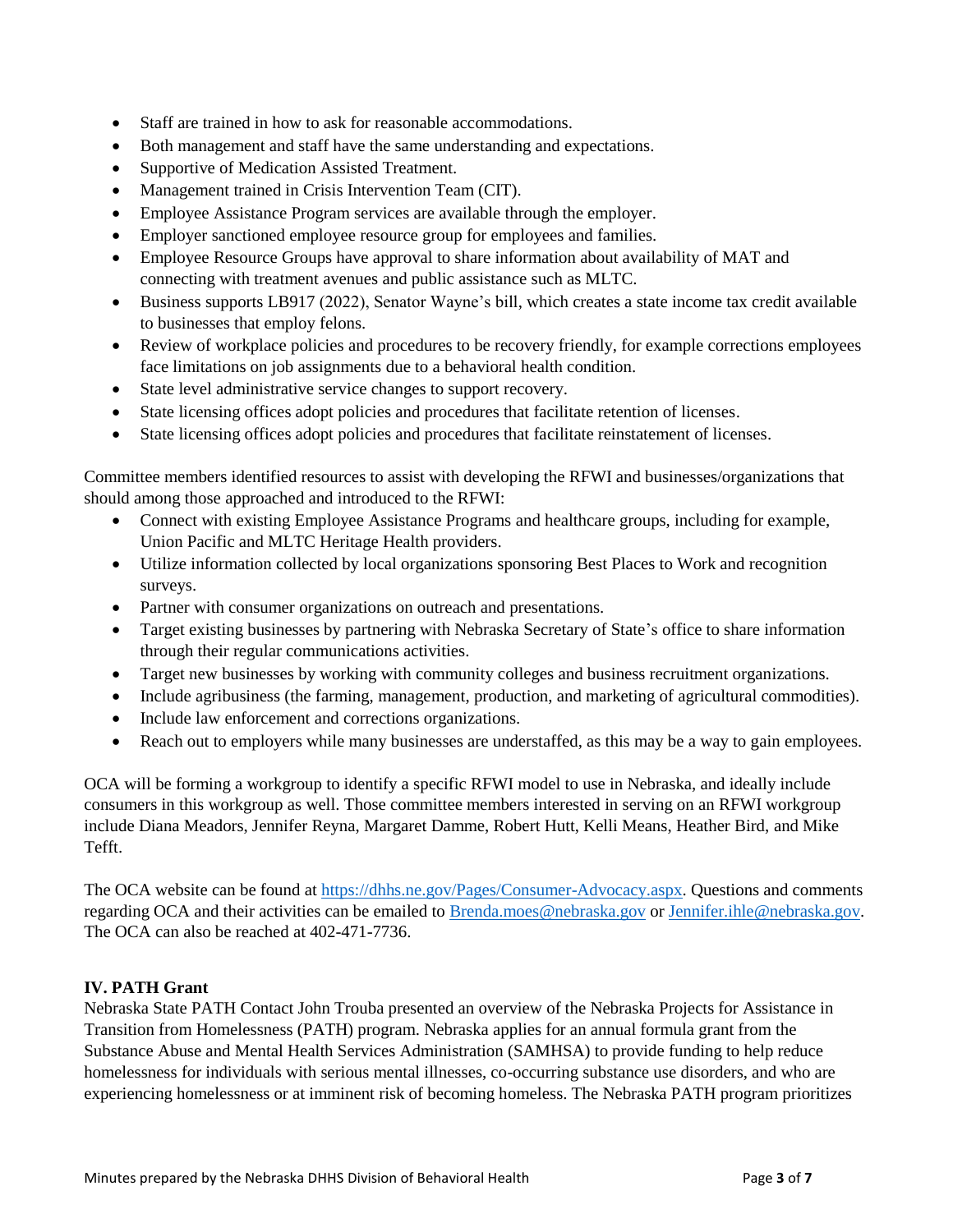- Staff are trained in how to ask for reasonable accommodations.
- Both management and staff have the same understanding and expectations.
- Supportive of Medication Assisted Treatment.
- Management trained in Crisis Intervention Team (CIT).
- Employee Assistance Program services are available through the employer.
- Employer sanctioned employee resource group for employees and families.
- Employee Resource Groups have approval to share information about availability of MAT and connecting with treatment avenues and public assistance such as MLTC.
- Business supports LB917 (2022), Senator Wayne's bill, which creates a state income tax credit available to businesses that employ felons.
- Review of workplace policies and procedures to be recovery friendly, for example corrections employees face limitations on job assignments due to a behavioral health condition.
- State level administrative service changes to support recovery.
- State licensing offices adopt policies and procedures that facilitate retention of licenses.
- State licensing offices adopt policies and procedures that facilitate reinstatement of licenses.

Committee members identified resources to assist with developing the RFWI and businesses/organizations that should among those approached and introduced to the RFWI:

- Connect with existing Employee Assistance Programs and healthcare groups, including for example, Union Pacific and MLTC Heritage Health providers.
- Utilize information collected by local organizations sponsoring Best Places to Work and recognition surveys.
- Partner with consumer organizations on outreach and presentations.
- Target existing businesses by partnering with Nebraska Secretary of State's office to share information through their regular communications activities.
- Target new businesses by working with community colleges and business recruitment organizations.
- Include agribusiness (the farming, management, production, and marketing of agricultural commodities).
- Include law enforcement and corrections organizations.
- Reach out to employers while many businesses are understaffed, as this may be a way to gain employees.

OCA will be forming a workgroup to identify a specific RFWI model to use in Nebraska, and ideally include consumers in this workgroup as well. Those committee members interested in serving on an RFWI workgroup include Diana Meadors, Jennifer Reyna, Margaret Damme, Robert Hutt, Kelli Means, Heather Bird, and Mike Tefft.

The OCA website can be found at [https://dhhs.ne.gov/Pages/Consumer-Advocacy.aspx.](https://dhhs.ne.gov/Pages/Consumer-Advocacy.aspx) Questions and comments regarding OCA and their activities can be emailed to [Brenda.moes@nebraska.gov](mailto:Brenda.moes@nebraska.gov) or [Jennifer.ihle@nebraska.gov.](mailto:Jennifer.ihle@nebraska.gov) The OCA can also be reached at 402-471-7736.

## **IV. PATH Grant**

Nebraska State PATH Contact John Trouba presented an overview of the Nebraska Projects for Assistance in Transition from Homelessness (PATH) program. Nebraska applies for an annual formula grant from the Substance Abuse and Mental Health Services Administration (SAMHSA) to provide funding to help reduce homelessness for individuals with serious mental illnesses, co-occurring substance use disorders, and who are experiencing homelessness or at imminent risk of becoming homeless. The Nebraska PATH program prioritizes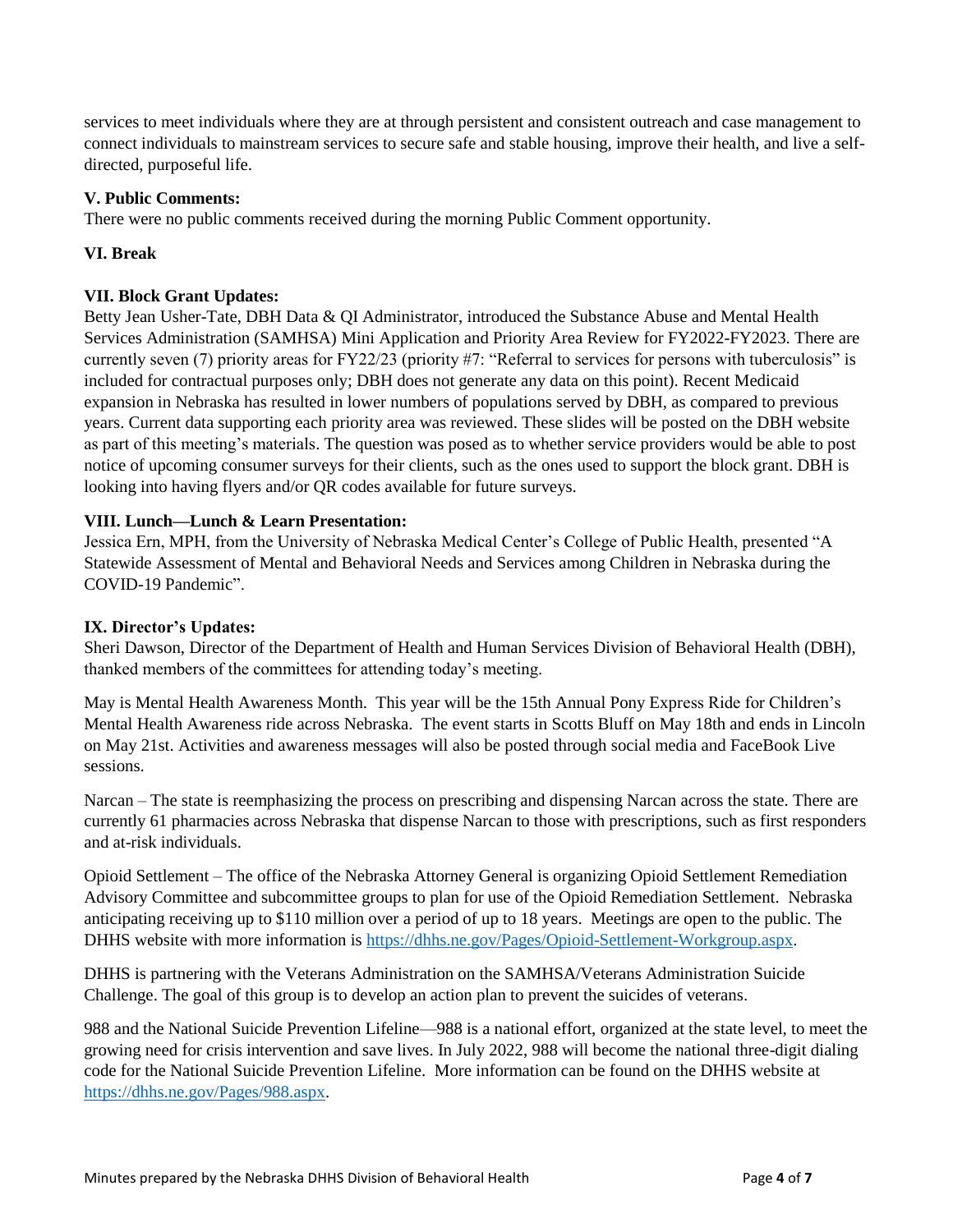services to meet individuals where they are at through persistent and consistent outreach and case management to connect individuals to mainstream services to secure safe and stable housing, improve their health, and live a selfdirected, purposeful life.

## **V. Public Comments:**

There were no public comments received during the morning Public Comment opportunity.

## **VI. Break**

## **VII. Block Grant Updates:**

Betty Jean Usher-Tate, DBH Data & QI Administrator, introduced the Substance Abuse and Mental Health Services Administration (SAMHSA) Mini Application and Priority Area Review for FY2022-FY2023. There are currently seven (7) priority areas for FY22/23 (priority #7: "Referral to services for persons with tuberculosis" is included for contractual purposes only; DBH does not generate any data on this point). Recent Medicaid expansion in Nebraska has resulted in lower numbers of populations served by DBH, as compared to previous years. Current data supporting each priority area was reviewed. These slides will be posted on the DBH website as part of this meeting's materials. The question was posed as to whether service providers would be able to post notice of upcoming consumer surveys for their clients, such as the ones used to support the block grant. DBH is looking into having flyers and/or QR codes available for future surveys.

## **VIII. Lunch—Lunch & Learn Presentation:**

Jessica Ern, MPH, from the University of Nebraska Medical Center's College of Public Health, presented "A Statewide Assessment of Mental and Behavioral Needs and Services among Children in Nebraska during the COVID-19 Pandemic".

### **IX. Director's Updates:**

Sheri Dawson, Director of the Department of Health and Human Services Division of Behavioral Health (DBH), thanked members of the committees for attending today's meeting.

May is Mental Health Awareness Month. This year will be the 15th Annual Pony Express Ride for Children's Mental Health Awareness ride across Nebraska. The event starts in Scotts Bluff on May 18th and ends in Lincoln on May 21st. Activities and awareness messages will also be posted through social media and FaceBook Live sessions.

Narcan – The state is reemphasizing the process on prescribing and dispensing Narcan across the state. There are currently 61 pharmacies across Nebraska that dispense Narcan to those with prescriptions, such as first responders and at-risk individuals.

Opioid Settlement – The office of the Nebraska Attorney General is organizing Opioid Settlement Remediation Advisory Committee and subcommittee groups to plan for use of the Opioid Remediation Settlement. Nebraska anticipating receiving up to \$110 million over a period of up to 18 years. Meetings are open to the public. The DHHS website with more information is [https://dhhs.ne.gov/Pages/Opioid-Settlement-Workgroup.aspx.](https://dhhs.ne.gov/Pages/Opioid-Settlement-Workgroup.aspx)

DHHS is partnering with the Veterans Administration on the SAMHSA/Veterans Administration Suicide Challenge. The goal of this group is to develop an action plan to prevent the suicides of veterans.

988 and the National Suicide Prevention Lifeline—988 is a national effort, organized at the state level, to meet the growing need for crisis intervention and save lives. In July 2022, 988 will become the national three-digit dialing code for the National Suicide Prevention Lifeline. More information can be found on the DHHS website at [https://dhhs.ne.gov/Pages/988.aspx.](https://dhhs.ne.gov/Pages/988.aspx)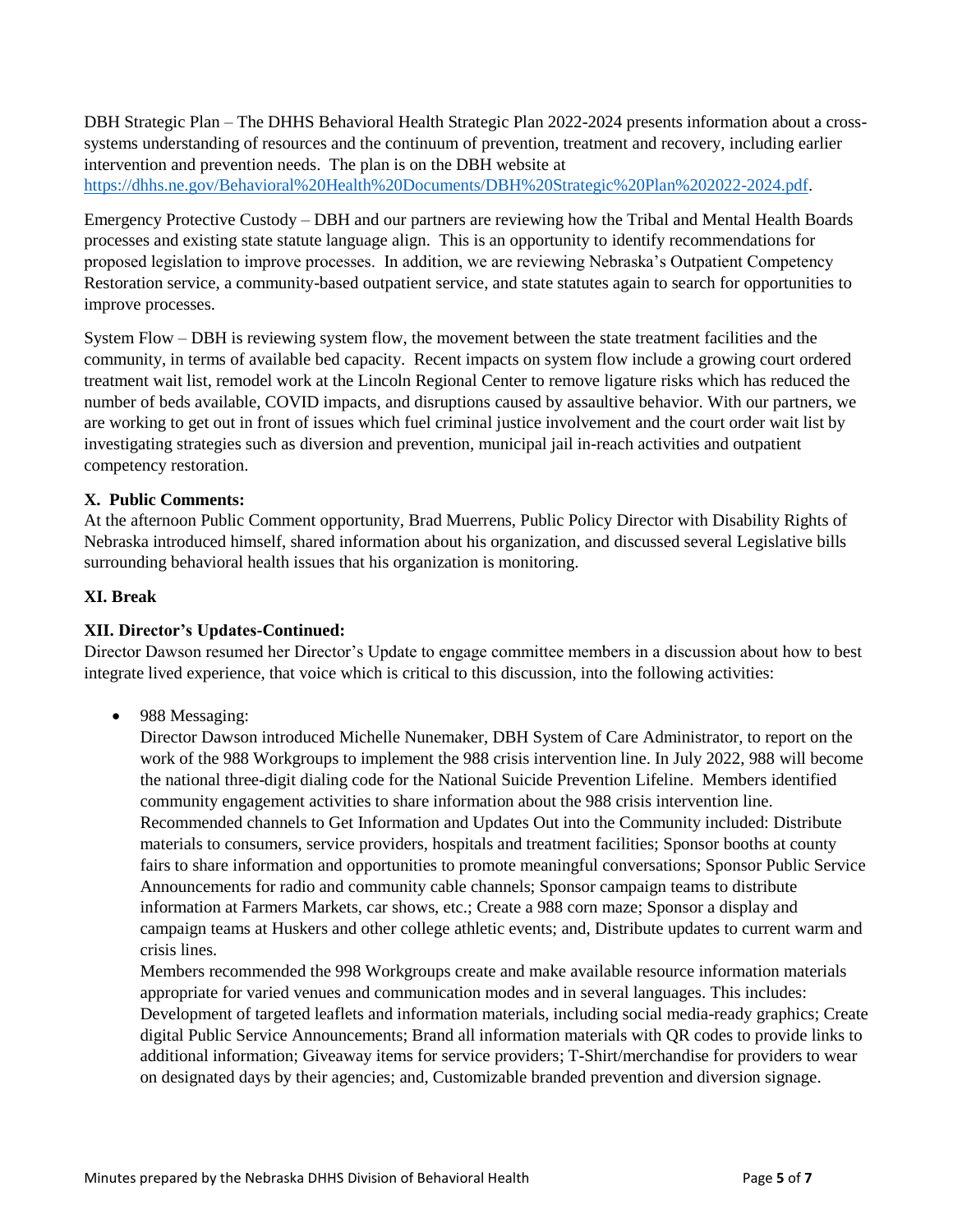DBH Strategic Plan – The DHHS Behavioral Health Strategic Plan 2022-2024 presents information about a crosssystems understanding of resources and the continuum of prevention, treatment and recovery, including earlier intervention and prevention needs. The plan is on the DBH website at [https://dhhs.ne.gov/Behavioral%20Health%20Documents/DBH%20Strategic%20Plan%202022-2024.pdf.](https://dhhs.ne.gov/Behavioral%20Health%20Documents/DBH%20Strategic%20Plan%202022-2024.pdf)

Emergency Protective Custody – DBH and our partners are reviewing how the Tribal and Mental Health Boards processes and existing state statute language align. This is an opportunity to identify recommendations for proposed legislation to improve processes. In addition, we are reviewing Nebraska's Outpatient Competency Restoration service, a community-based outpatient service, and state statutes again to search for opportunities to improve processes.

System Flow – DBH is reviewing system flow, the movement between the state treatment facilities and the community, in terms of available bed capacity. Recent impacts on system flow include a growing court ordered treatment wait list, remodel work at the Lincoln Regional Center to remove ligature risks which has reduced the number of beds available, COVID impacts, and disruptions caused by assaultive behavior. With our partners, we are working to get out in front of issues which fuel criminal justice involvement and the court order wait list by investigating strategies such as diversion and prevention, municipal jail in-reach activities and outpatient competency restoration.

## **X. Public Comments:**

At the afternoon Public Comment opportunity, Brad Muerrens, Public Policy Director with Disability Rights of Nebraska introduced himself, shared information about his organization, and discussed several Legislative bills surrounding behavioral health issues that his organization is monitoring.

### **XI. Break**

## **XII. Director's Updates-Continued:**

Director Dawson resumed her Director's Update to engage committee members in a discussion about how to best integrate lived experience, that voice which is critical to this discussion, into the following activities:

• 988 Messaging:

Director Dawson introduced Michelle Nunemaker, DBH System of Care Administrator, to report on the work of the 988 Workgroups to implement the 988 crisis intervention line. In July 2022, 988 will become the national three-digit dialing code for the National Suicide Prevention Lifeline. Members identified community engagement activities to share information about the 988 crisis intervention line. Recommended channels to Get Information and Updates Out into the Community included: Distribute materials to consumers, service providers, hospitals and treatment facilities; Sponsor booths at county fairs to share information and opportunities to promote meaningful conversations; Sponsor Public Service Announcements for radio and community cable channels; Sponsor campaign teams to distribute information at Farmers Markets, car shows, etc.; Create a 988 corn maze; Sponsor a display and campaign teams at Huskers and other college athletic events; and, Distribute updates to current warm and crisis lines.

Members recommended the 998 Workgroups create and make available resource information materials appropriate for varied venues and communication modes and in several languages. This includes: Development of targeted leaflets and information materials, including social media-ready graphics; Create digital Public Service Announcements; Brand all information materials with QR codes to provide links to additional information; Giveaway items for service providers; T-Shirt/merchandise for providers to wear on designated days by their agencies; and, Customizable branded prevention and diversion signage.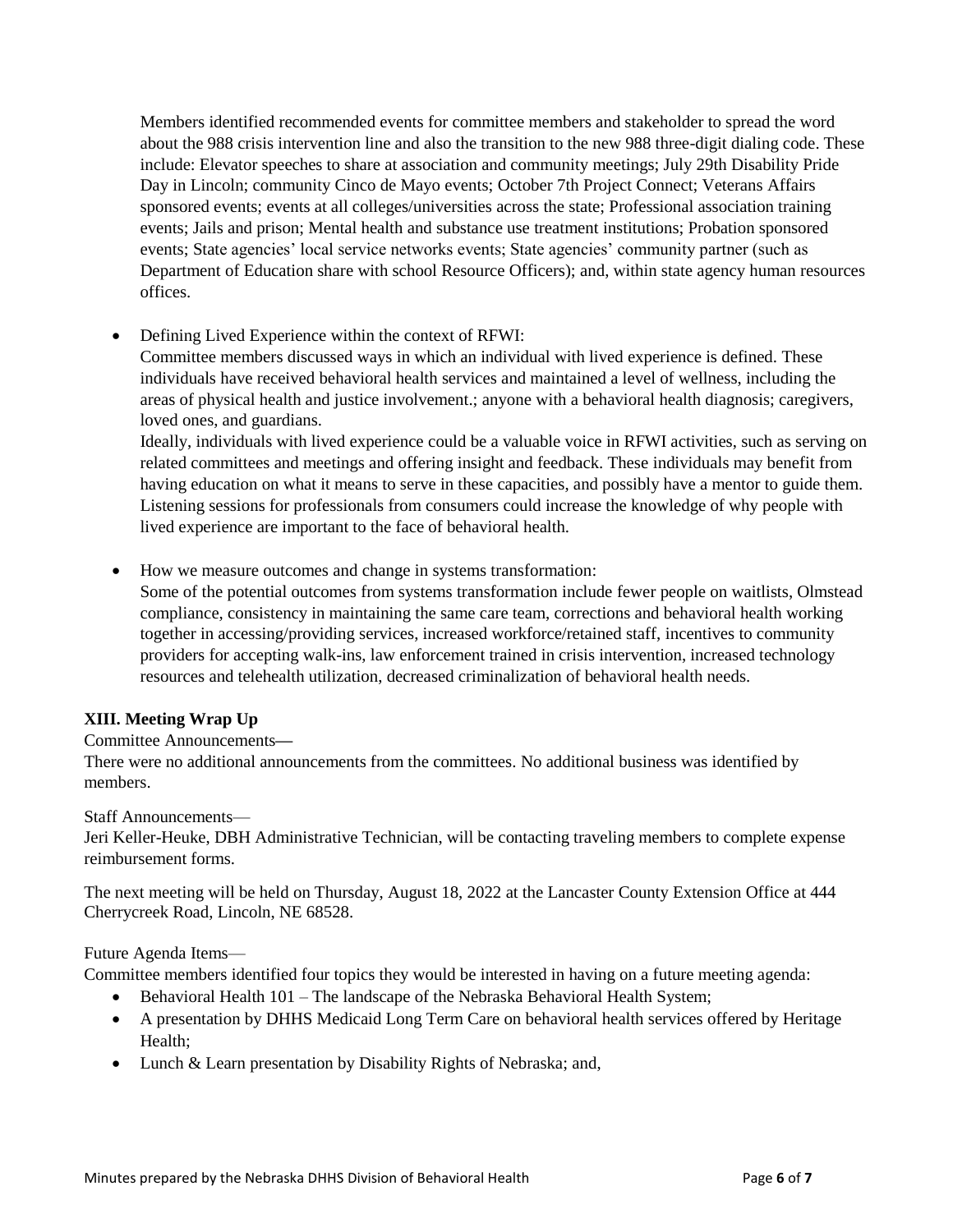Members identified recommended events for committee members and stakeholder to spread the word about the 988 crisis intervention line and also the transition to the new 988 three-digit dialing code. These include: Elevator speeches to share at association and community meetings; July 29th Disability Pride Day in Lincoln; community Cinco de Mayo events; October 7th Project Connect; Veterans Affairs sponsored events; events at all colleges/universities across the state; Professional association training events; Jails and prison; Mental health and substance use treatment institutions; Probation sponsored events; State agencies' local service networks events; State agencies' community partner (such as Department of Education share with school Resource Officers); and, within state agency human resources offices.

• Defining Lived Experience within the context of RFWI:

Committee members discussed ways in which an individual with lived experience is defined. These individuals have received behavioral health services and maintained a level of wellness, including the areas of physical health and justice involvement.; anyone with a behavioral health diagnosis; caregivers, loved ones, and guardians.

Ideally, individuals with lived experience could be a valuable voice in RFWI activities, such as serving on related committees and meetings and offering insight and feedback. These individuals may benefit from having education on what it means to serve in these capacities, and possibly have a mentor to guide them. Listening sessions for professionals from consumers could increase the knowledge of why people with lived experience are important to the face of behavioral health.

 How we measure outcomes and change in systems transformation: Some of the potential outcomes from systems transformation include fewer people on waitlists, Olmstead compliance, consistency in maintaining the same care team, corrections and behavioral health working together in accessing/providing services, increased workforce/retained staff, incentives to community providers for accepting walk-ins, law enforcement trained in crisis intervention, increased technology resources and telehealth utilization, decreased criminalization of behavioral health needs.

# **XIII. Meeting Wrap Up**

### Committee Announcements**—**

There were no additional announcements from the committees. No additional business was identified by members.

Staff Announcements—

Jeri Keller-Heuke, DBH Administrative Technician, will be contacting traveling members to complete expense reimbursement forms.

The next meeting will be held on Thursday, August 18, 2022 at the Lancaster County Extension Office at 444 Cherrycreek Road, Lincoln, NE 68528.

Future Agenda Items—

Committee members identified four topics they would be interested in having on a future meeting agenda:

- Behavioral Health 101 The landscape of the Nebraska Behavioral Health System;
- A presentation by DHHS Medicaid Long Term Care on behavioral health services offered by Heritage Health;
- Lunch & Learn presentation by Disability Rights of Nebraska; and,